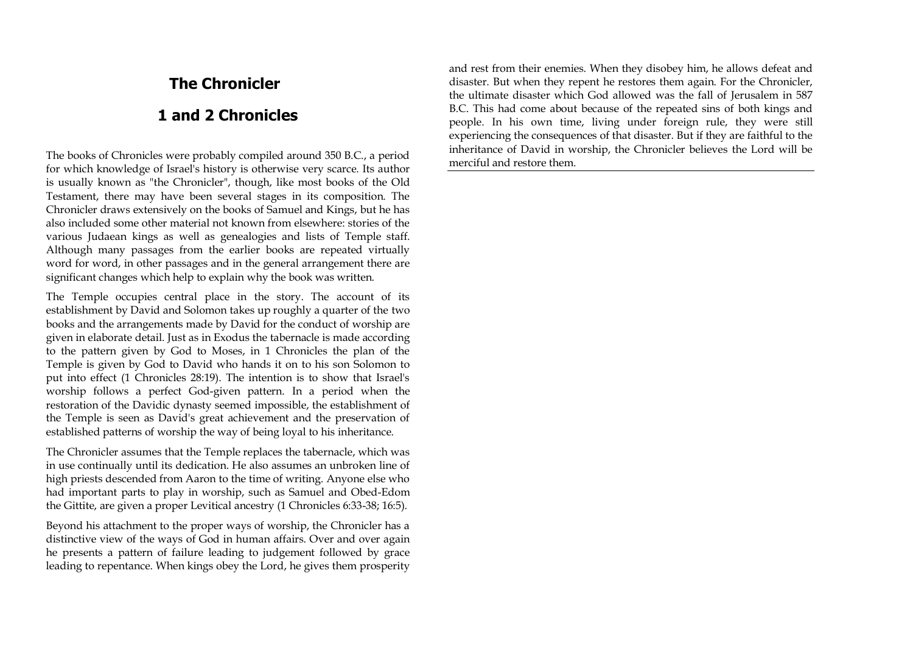# **The Chronicler**

# **1 and 2 Chronicles**

The books of Chronicles were probably compiled around 350 B.C., a period for which knowledge of Israel's history is otherwise very scarce. Its author is usually known as "the Chronicler", though, like most books of the Old Testament, there may have been several stages in its composition. The Chronicler draws extensively on the books of Samuel and Kings, but he has also included some other material not known from elsewhere: stories of the various Judaean kings as well as genealogies and lists of Temple staff. Although many passages from the earlier books are repeated virtually word for word, in other passages and in the general arrangement there are significant changes which help to explain why the book was written.

The Temple occupies central place in the story. The account of its establishment by David and Solomon takes up roughly a quarter of the two books and the arrangements made by David for the conduct of worship are given in elaborate detail. Just as in Exodus the tabernacle is made according to the pattern given by God to Moses, in 1 Chronicles the plan of the Temple is given by God to David who hands it on to his son Solomon to put into effect (1 Chronicles 28:19). The intention is to show that Israel's worship follows a perfect God-given pattern. In a period when the restoration of the Davidic dynasty seemed impossible, the establishment of the Temple is seen as David's great achievement and the preservation of established patterns of worship the way of being loyal to his inheritance.

The Chronicler assumes that the Temple replaces the tabernacle, which was in use continually until its dedication. He also assumes an unbroken line of high priests descended from Aaron to the time of writing. Anyone else who had important parts to play in worship, such as Samuel and Obed-Edom the Gittite, are given a proper Levitical ancestry (1 Chronicles 6:33-38; 16:5).

Beyond his attachment to the proper ways of worship, the Chronicler has a distinctive view of the ways of God in human affairs. Over and over again he presents a pattern of failure leading to judgement followed by grace leading to repentance. When kings obey the Lord, he gives them prosperity

and rest from their enemies. When they disobey him, he allows defeat and disaster. But when they repent he restores them again. For the Chronicler, the ultimate disaster which God allowed was the fall of Jerusalem in 587 B.C. This had come about because of the repeated sins of both kings and people. In his own time, living under foreign rule, they were still experiencing the consequences of that disaster. But if they are faithful to the inheritance of David in worship, the Chronicler believes the Lord will be merciful and restore them.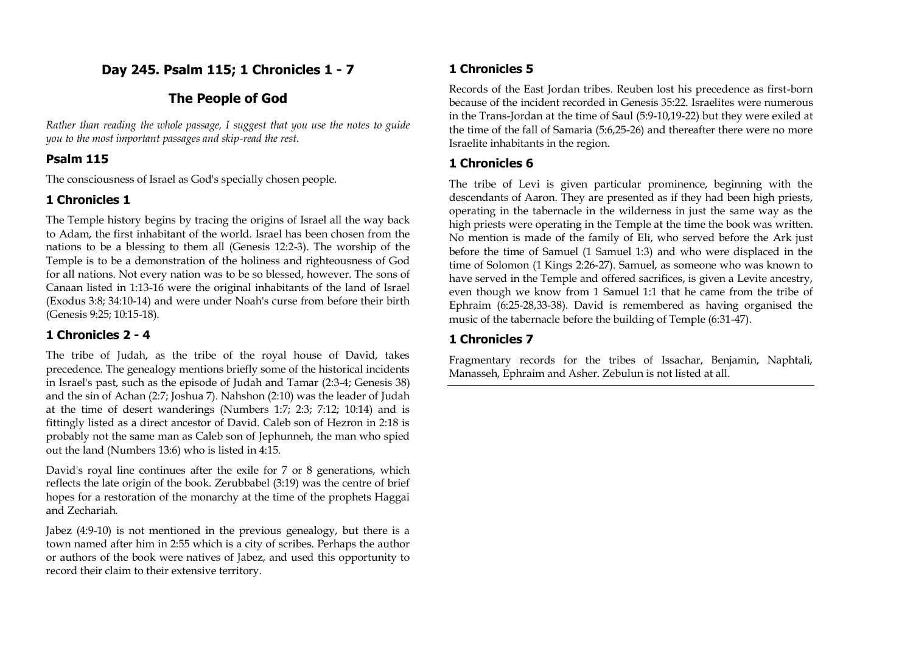# **Day 245. Psalm 115; 1 Chronicles 1 - 7**

## **The People of God**

*Rather than reading the whole passage, I suggest that you use the notes to guide you to the most important passages and skip-read the rest.*

### **Psalm 115**

The consciousness of Israel as God's specially chosen people.

# **1 Chronicles 1**

The Temple history begins by tracing the origins of Israel all the way back to Adam, the first inhabitant of the world. Israel has been chosen from the nations to be a blessing to them all (Genesis 12:2-3). The worship of the Temple is to be a demonstration of the holiness and righteousness of God for all nations. Not every nation was to be so blessed, however. The sons of Canaan listed in 1:13-16 were the original inhabitants of the land of Israel (Exodus 3:8; 34:10-14) and were under Noah's curse from before their birth (Genesis 9:25; 10:15-18).

## **1 Chronicles 2 - 4**

The tribe of Judah, as the tribe of the royal house of David, takes precedence. The genealogy mentions briefly some of the historical incidents in Israel's past, such as the episode of Judah and Tamar (2:3-4; Genesis 38) and the sin of Achan (2:7; Joshua 7). Nahshon (2:10) was the leader of Judah at the time of desert wanderings (Numbers 1:7; 2:3; 7:12; 10:14) and is fittingly listed as a direct ancestor of David. Caleb son of Hezron in 2:18 is probably not the same man as Caleb son of Jephunneh, the man who spied out the land (Numbers 13:6) who is listed in 4:15.

David's royal line continues after the exile for 7 or 8 generations, which reflects the late origin of the book. Zerubbabel (3:19) was the centre of brief hopes for a restoration of the monarchy at the time of the prophets Haggai and Zechariah.

Jabez (4:9-10) is not mentioned in the previous genealogy, but there is a town named after him in 2:55 which is a city of scribes. Perhaps the author or authors of the book were natives of Jabez, and used this opportunity to record their claim to their extensive territory.

# **1 Chronicles 5**

Records of the East Jordan tribes. Reuben lost his precedence as first-born because of the incident recorded in Genesis 35:22. Israelites were numerous in the Trans-Jordan at the time of Saul (5:9-10,19-22) but they were exiled at the time of the fall of Samaria (5:6,25-26) and thereafter there were no more Israelite inhabitants in the region.

### **1 Chronicles 6**

The tribe of Levi is given particular prominence, beginning with the descendants of Aaron. They are presented as if they had been high priests, operating in the tabernacle in the wilderness in just the same way as the high priests were operating in the Temple at the time the book was written. No mention is made of the family of Eli, who served before the Ark just before the time of Samuel (1 Samuel 1:3) and who were displaced in the time of Solomon (1 Kings 2:26-27). Samuel, as someone who was known to have served in the Temple and offered sacrifices, is given a Levite ancestry, even though we know from 1 Samuel 1:1 that he came from the tribe of Ephraim (6:25-28,33-38). David is remembered as having organised the music of the tabernacle before the building of Temple (6:31-47).

# **1 Chronicles 7**

Fragmentary records for the tribes of Issachar, Benjamin, Naphtali, Manasseh, Ephraim and Asher. Zebulun is not listed at all.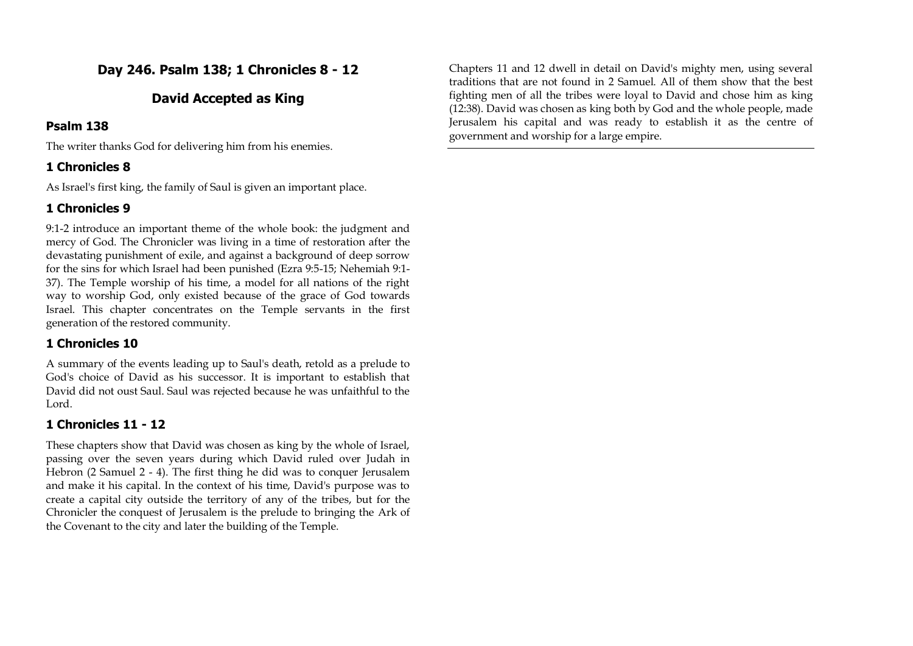# **Day 246. Psalm 138; 1 Chronicles 8 - 12**

### **David Accepted as King**

#### **Psalm 138**

The writer thanks God for delivering him from his enemies.

### **1 Chronicles 8**

As Israel's first king, the family of Saul is given an important place.

### **1 Chronicles 9**

9:1-2 introduce an important theme of the whole book: the judgment and mercy of God. The Chronicler was living in a time of restoration after the devastating punishment of exile, and against a background of deep sorrow for the sins for which Israel had been punished (Ezra 9:5-15; Nehemiah 9:1- 37). The Temple worship of his time, a model for all nations of the right way to worship God, only existed because of the grace of God towards Israel. This chapter concentrates on the Temple servants in the first generation of the restored community.

### **1 Chronicles 10**

A summary of the events leading up to Saul's death, retold as a prelude to God's choice of David as his successor. It is important to establish that David did not oust Saul. Saul was rejected because he was unfaithful to the Lord.

### **1 Chronicles 11 - 12**

These chapters show that David was chosen as king by the whole of Israel, passing over the seven years during which David ruled over Judah in Hebron (2 Samuel 2 - 4). The first thing he did was to conquer Jerusalem and make it his capital. In the context of his time, David's purpose was to create a capital city outside the territory of any of the tribes, but for the Chronicler the conquest of Jerusalem is the prelude to bringing the Ark of the Covenant to the city and later the building of the Temple.

Chapters 11 and 12 dwell in detail on David's mighty men, using several traditions that are not found in 2 Samuel. All of them show that the best fighting men of all the tribes were loyal to David and chose him as king (12:38). David was chosen as king both by God and the whole people, made Jerusalem his capital and was ready to establish it as the centre of government and worship for a large empire.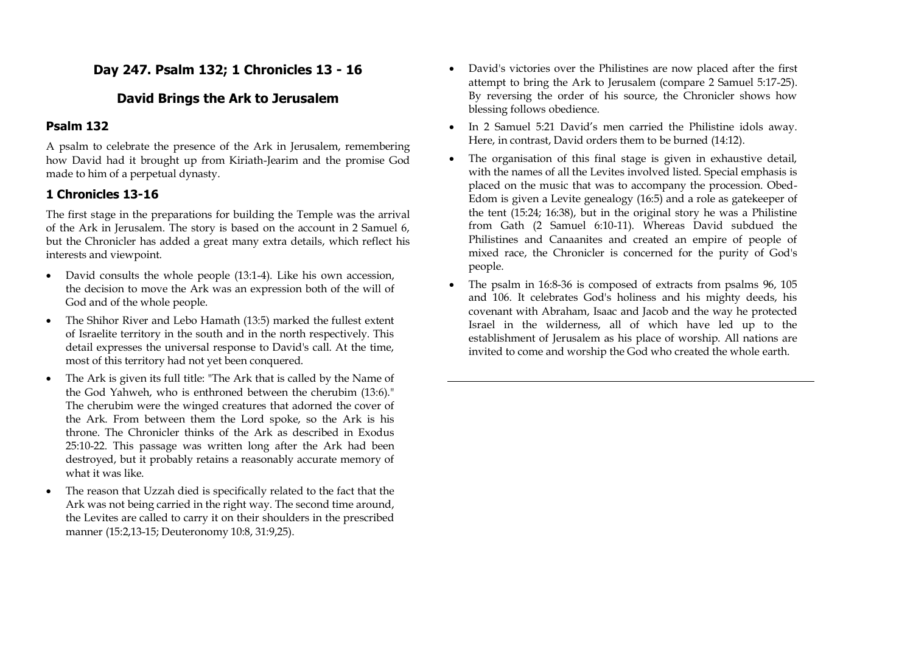# **Day 247. Psalm 132; 1 Chronicles 13 - 16**

### **David Brings the Ark to Jerusalem**

#### **Psalm 132**

A psalm to celebrate the presence of the Ark in Jerusalem, remembering how David had it brought up from Kiriath-Jearim and the promise God made to him of a perpetual dynasty.

## **1 Chronicles 13-16**

The first stage in the preparations for building the Temple was the arrival of the Ark in Jerusalem. The story is based on the account in 2 Samuel 6, but the Chronicler has added a great many extra details, which reflect his interests and viewpoint.

- David consults the whole people (13:1-4). Like his own accession, the decision to move the Ark was an expression both of the will of God and of the whole people.
- The Shihor River and Lebo Hamath (13:5) marked the fullest extent of Israelite territory in the south and in the north respectively. This detail expresses the universal response to David's call. At the time, most of this territory had not yet been conquered.
- The Ark is given its full title: "The Ark that is called by the Name of the God Yahweh, who is enthroned between the cherubim (13:6)." The cherubim were the winged creatures that adorned the cover of the Ark. From between them the Lord spoke, so the Ark is his throne. The Chronicler thinks of the Ark as described in Exodus 25:10-22. This passage was written long after the Ark had been destroyed, but it probably retains a reasonably accurate memory of what it was like.
- The reason that Uzzah died is specifically related to the fact that the Ark was not being carried in the right way. The second time around, the Levites are called to carry it on their shoulders in the prescribed manner (15:2,13-15; Deuteronomy 10:8, 31:9,25).
- David's victories over the Philistines are now placed after the first attempt to bring the Ark to Jerusalem (compare 2 Samuel 5:17-25). By reversing the order of his source, the Chronicler shows how blessing follows obedience.
- In 2 Samuel 5:21 David's men carried the Philistine idols away. Here, in contrast, David orders them to be burned (14:12).
- The organisation of this final stage is given in exhaustive detail, with the names of all the Levites involved listed. Special emphasis is placed on the music that was to accompany the procession. Obed-Edom is given a Levite genealogy (16:5) and a role as gatekeeper of the tent (15:24; 16:38), but in the original story he was a Philistine from Gath (2 Samuel 6:10-11). Whereas David subdued the Philistines and Canaanites and created an empire of people of mixed race, the Chronicler is concerned for the purity of God's people.
- The psalm in 16:8-36 is composed of extracts from psalms 96, 105 and 106. It celebrates God's holiness and his mighty deeds, his covenant with Abraham, Isaac and Jacob and the way he protected Israel in the wilderness, all of which have led up to the establishment of Jerusalem as his place of worship. All nations are invited to come and worship the God who created the whole earth.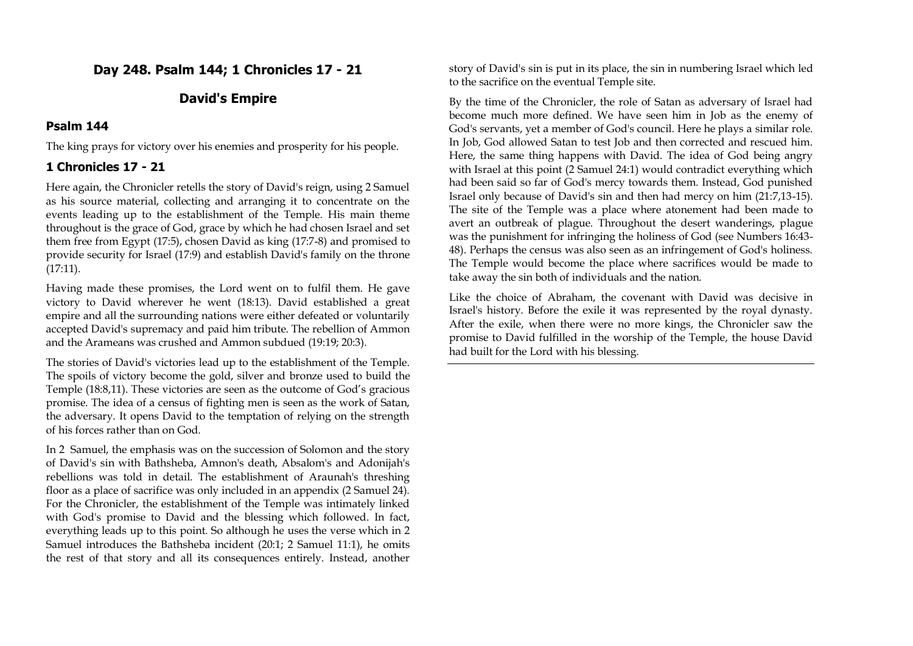## **Day 248. Psalm 144; 1 Chronicles 17 - 21**

### **David's Empire**

#### **Psalm 144**

The king prays for victory over his enemies and prosperity for his people.

### **1 Chronicles 17 - 21**

Here again, the Chronicler retells the story of David's reign, using 2 Samuel as his source material, collecting and arranging it to concentrate on the events leading up to the establishment of the Temple. His main theme throughout is the grace of God, grace by which he had chosen Israel and set them free from Egypt (17:5), chosen David as king (17:7-8) and promised to provide security for Israel (17:9) and establish David's family on the throne (17:11).

Having made these promises, the Lord went on to fulfil them. He gave victory to David wherever he went (18:13). David established a great empire and all the surrounding nations were either defeated or voluntarily accepted David's supremacy and paid him tribute. The rebellion of Ammon and the Arameans was crushed and Ammon subdued (19:19; 20:3).

The stories of David's victories lead up to the establishment of the Temple. The spoils of victory become the gold, silver and bronze used to build the Temple (18:8,11). These victories are seen as the outcome of God's gracious promise. The idea of a census of fighting men is seen as the work of Satan, the adversary. It opens David to the temptation of relying on the strength of his forces rather than on God.

In 2 Samuel, the emphasis was on the succession of Solomon and the story of David's sin with Bathsheba, Amnon's death, Absalom's and Adonijah's rebellions was told in detail. The establishment of Araunah's threshing floor as a place of sacrifice was only included in an appendix (2 Samuel 24). For the Chronicler, the establishment of the Temple was intimately linked with God's promise to David and the blessing which followed. In fact, everything leads up to this point. So although he uses the verse which in 2 Samuel introduces the Bathsheba incident (20:1; 2 Samuel 11:1), he omits the rest of that story and all its consequences entirely. Instead, another story of David's sin is put in its place, the sin in numbering Israel which led to the sacrifice on the eventual Temple site.

By the time of the Chronicler, the role of Satan as adversary of Israel had become much more defined. We have seen him in Job as the enemy of God's servants, yet a member of God's council. Here he plays a similar role. In Job, God allowed Satan to test Job and then corrected and rescued him. Here, the same thing happens with David. The idea of God being angry with Israel at this point (2 Samuel 24:1) would contradict everything which had been said so far of God's mercy towards them. Instead, God punished Israel only because of David's sin and then had mercy on him (21:7,13-15). The site of the Temple was a place where atonement had been made to avert an outbreak of plague. Throughout the desert wanderings, plague was the punishment for infringing the holiness of God (see Numbers 16:43- 48). Perhaps the census was also seen as an infringement of God's holiness. The Temple would become the place where sacrifices would be made to take away the sin both of individuals and the nation.

Like the choice of Abraham, the covenant with David was decisive in Israel's history. Before the exile it was represented by the royal dynasty. After the exile, when there were no more kings, the Chronicler saw the promise to David fulfilled in the worship of the Temple, the house David had built for the Lord with his blessing.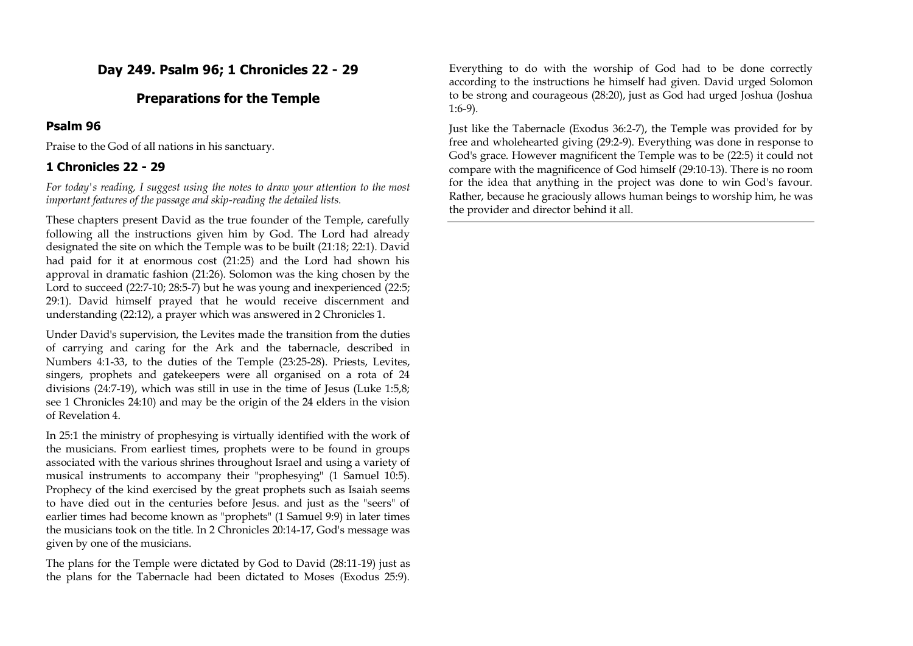## **Day 249. Psalm 96; 1 Chronicles 22 - 29**

#### **Preparations for the Temple**

#### **Psalm 96**

Praise to the God of all nations in his sanctuary.

#### **1 Chronicles 22 - 29**

*For today's reading, I suggest using the notes to draw your attention to the most important features of the passage and skip-reading the detailed lists.*

These chapters present David as the true founder of the Temple, carefully following all the instructions given him by God. The Lord had already designated the site on which the Temple was to be built (21:18; 22:1). David had paid for it at enormous cost (21:25) and the Lord had shown his approval in dramatic fashion (21:26). Solomon was the king chosen by the Lord to succeed (22:7-10; 28:5-7) but he was young and inexperienced (22:5; 29:1). David himself prayed that he would receive discernment and understanding (22:12), a prayer which was answered in 2 Chronicles 1.

Under David's supervision, the Levites made the transition from the duties of carrying and caring for the Ark and the tabernacle, described in Numbers 4:1-33, to the duties of the Temple (23:25-28). Priests, Levites, singers, prophets and gatekeepers were all organised on a rota of 24 divisions (24:7-19), which was still in use in the time of Jesus (Luke 1:5,8; see 1 Chronicles 24:10) and may be the origin of the 24 elders in the vision of Revelation 4.

In 25:1 the ministry of prophesying is virtually identified with the work of the musicians. From earliest times, prophets were to be found in groups associated with the various shrines throughout Israel and using a variety of musical instruments to accompany their "prophesying" (1 Samuel 10:5). Prophecy of the kind exercised by the great prophets such as Isaiah seems to have died out in the centuries before Jesus. and just as the "seers" of earlier times had become known as "prophets" (1 Samuel 9:9) in later times the musicians took on the title. In 2 Chronicles 20:14-17, God's message was given by one of the musicians.

The plans for the Temple were dictated by God to David (28:11-19) just as the plans for the Tabernacle had been dictated to Moses (Exodus 25:9).

Everything to do with the worship of God had to be done correctly according to the instructions he himself had given. David urged Solomon to be strong and courageous (28:20), just as God had urged Joshua (Joshua 1:6-9).

Just like the Tabernacle (Exodus 36:2-7), the Temple was provided for by free and wholehearted giving (29:2-9). Everything was done in response to God's grace. However magnificent the Temple was to be (22:5) it could not compare with the magnificence of God himself (29:10-13). There is no room for the idea that anything in the project was done to win God's favour. Rather, because he graciously allows human beings to worship him, he was the provider and director behind it all.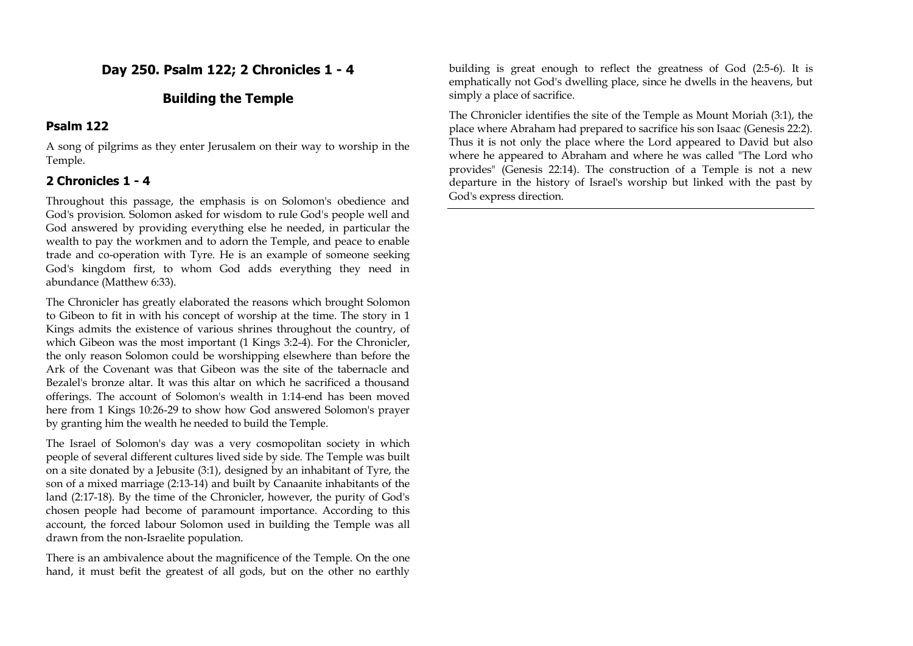## **Day 250. Psalm 122; 2 Chronicles 1 - 4**

### **Building the Temple**

#### **Psalm 122**

A song of pilgrims as they enter Jerusalem on their way to worship in the Temple.

#### **2 Chronicles 1 - 4**

Throughout this passage, the emphasis is on Solomon's obedience and God's provision. Solomon asked for wisdom to rule God's people well and God answered by providing everything else he needed, in particular the wealth to pay the workmen and to adorn the Temple, and peace to enable trade and co-operation with Tyre. He is an example of someone seeking God's kingdom first, to whom God adds everything they need in abundance (Matthew 6:33).

The Chronicler has greatly elaborated the reasons which brought Solomon to Gibeon to fit in with his concept of worship at the time. The story in 1 Kings admits the existence of various shrines throughout the country, of which Gibeon was the most important (1 Kings 3:2-4). For the Chronicler, the only reason Solomon could be worshipping elsewhere than before the Ark of the Covenant was that Gibeon was the site of the tabernacle and Bezalel's bronze altar. It was this altar on which he sacrificed a thousand offerings. The account of Solomon's wealth in 1:14-end has been moved here from 1 Kings 10:26-29 to show how God answered Solomon's prayer by granting him the wealth he needed to build the Temple.

The Israel of Solomon's day was a very cosmopolitan society in which people of several different cultures lived side by side. The Temple was built on a site donated by a Jebusite (3:1), designed by an inhabitant of Tyre, the son of a mixed marriage (2:13-14) and built by Canaanite inhabitants of the land (2:17-18). By the time of the Chronicler, however, the purity of God's chosen people had become of paramount importance. According to this account, the forced labour Solomon used in building the Temple was all drawn from the non-Israelite population.

There is an ambivalence about the magnificence of the Temple. On the one hand, it must befit the greatest of all gods, but on the other no earthly

building is great enough to reflect the greatness of God (2:5-6). It is emphatically not God's dwelling place, since he dwells in the heavens, but simply a place of sacrifice.

The Chronicler identifies the site of the Temple as Mount Moriah (3:1), the place where Abraham had prepared to sacrifice his son Isaac (Genesis 22:2). Thus it is not only the place where the Lord appeared to David but also where he appeared to Abraham and where he was called "The Lord who provides" (Genesis 22:14). The construction of a Temple is not a new departure in the history of Israel's worship but linked with the past by God's express direction.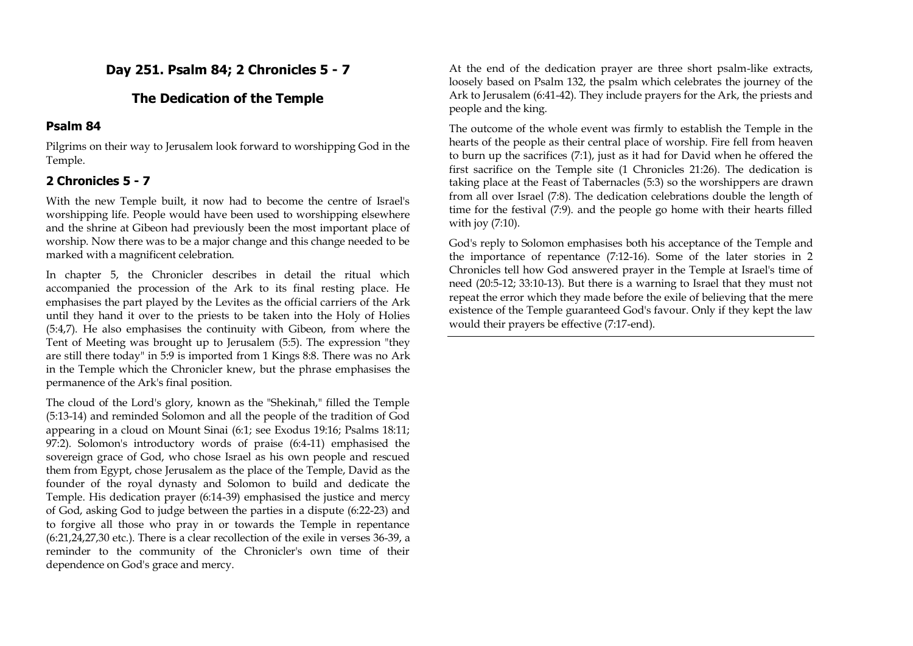## **Day 251. Psalm 84; 2 Chronicles 5 - 7**

## **The Dedication of the Temple**

### **Psalm 84**

Pilgrims on their way to Jerusalem look forward to worshipping God in the Temple.

# **2 Chronicles 5 - 7**

With the new Temple built, it now had to become the centre of Israel's worshipping life. People would have been used to worshipping elsewhere and the shrine at Gibeon had previously been the most important place of worship. Now there was to be a major change and this change needed to be marked with a magnificent celebration.

In chapter 5, the Chronicler describes in detail the ritual which accompanied the procession of the Ark to its final resting place. He emphasises the part played by the Levites as the official carriers of the Ark until they hand it over to the priests to be taken into the Holy of Holies (5:4,7). He also emphasises the continuity with Gibeon, from where the Tent of Meeting was brought up to Jerusalem (5:5). The expression "they are still there today" in 5:9 is imported from 1 Kings 8:8. There was no Ark in the Temple which the Chronicler knew, but the phrase emphasises the permanence of the Ark's final position.

The cloud of the Lord's glory, known as the "Shekinah," filled the Temple (5:13-14) and reminded Solomon and all the people of the tradition of God appearing in a cloud on Mount Sinai (6:1; see Exodus 19:16; Psalms 18:11; 97:2). Solomon's introductory words of praise (6:4-11) emphasised the sovereign grace of God, who chose Israel as his own people and rescued them from Egypt, chose Jerusalem as the place of the Temple, David as the founder of the royal dynasty and Solomon to build and dedicate the Temple. His dedication prayer (6:14-39) emphasised the justice and mercy of God, asking God to judge between the parties in a dispute (6:22-23) and to forgive all those who pray in or towards the Temple in repentance (6:21,24,27,30 etc.). There is a clear recollection of the exile in verses 36-39, a reminder to the community of the Chronicler's own time of their dependence on God's grace and mercy.

At the end of the dedication prayer are three short psalm-like extracts, loosely based on Psalm 132, the psalm which celebrates the journey of the Ark to Jerusalem (6:41-42). They include prayers for the Ark, the priests and people and the king.

The outcome of the whole event was firmly to establish the Temple in the hearts of the people as their central place of worship. Fire fell from heaven to burn up the sacrifices (7:1), just as it had for David when he offered the first sacrifice on the Temple site (1 Chronicles 21:26). The dedication is taking place at the Feast of Tabernacles (5:3) so the worshippers are drawn from all over Israel (7:8). The dedication celebrations double the length of time for the festival (7:9). and the people go home with their hearts filled with joy (7:10).

God's reply to Solomon emphasises both his acceptance of the Temple and the importance of repentance (7:12-16). Some of the later stories in 2 Chronicles tell how God answered prayer in the Temple at Israel's time of need (20:5-12; 33:10-13). But there is a warning to Israel that they must not repeat the error which they made before the exile of believing that the mere existence of the Temple guaranteed God's favour. Only if they kept the law would their prayers be effective (7:17-end).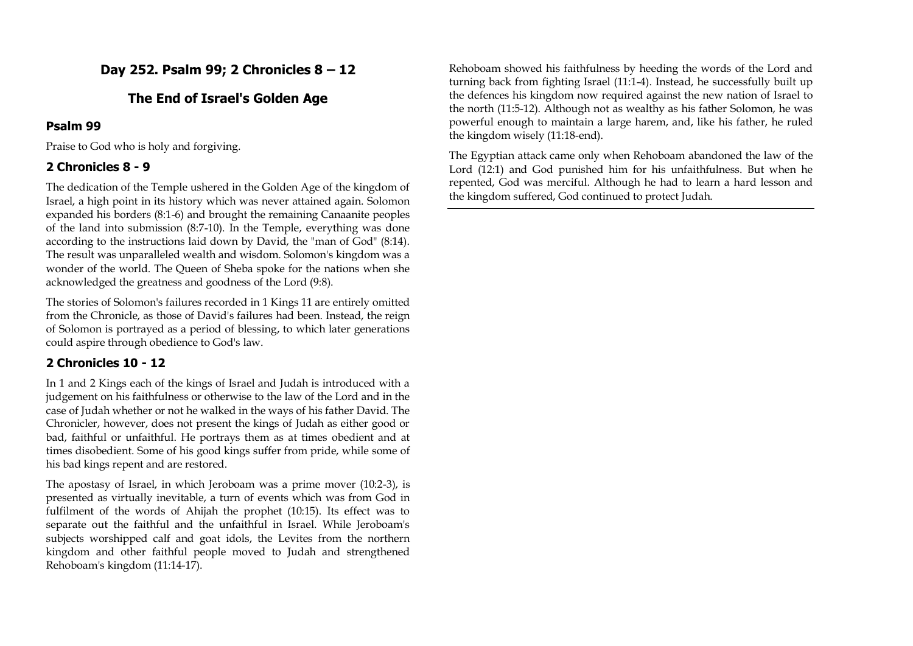# **Day 252. Psalm 99; 2 Chronicles 8 – 12**

## **The End of Israel's Golden Age**

#### **Psalm 99**

Praise to God who is holy and forgiving.

### **2 Chronicles 8 - 9**

The dedication of the Temple ushered in the Golden Age of the kingdom of Israel, a high point in its history which was never attained again. Solomon expanded his borders (8:1-6) and brought the remaining Canaanite peoples of the land into submission (8:7-10). In the Temple, everything was done according to the instructions laid down by David, the "man of God" (8:14). The result was unparalleled wealth and wisdom. Solomon's kingdom was a wonder of the world. The Queen of Sheba spoke for the nations when she acknowledged the greatness and goodness of the Lord (9:8).

The stories of Solomon's failures recorded in 1 Kings 11 are entirely omitted from the Chronicle, as those of David's failures had been. Instead, the reign of Solomon is portrayed as a period of blessing, to which later generations could aspire through obedience to God's law.

## **2 Chronicles 10 - 12**

In 1 and 2 Kings each of the kings of Israel and Judah is introduced with a judgement on his faithfulness or otherwise to the law of the Lord and in the case of Judah whether or not he walked in the ways of his father David. The Chronicler, however, does not present the kings of Judah as either good or bad, faithful or unfaithful. He portrays them as at times obedient and at times disobedient. Some of his good kings suffer from pride, while some of his bad kings repent and are restored.

The apostasy of Israel, in which Jeroboam was a prime mover (10:2-3), is presented as virtually inevitable, a turn of events which was from God in fulfilment of the words of Ahijah the prophet (10:15). Its effect was to separate out the faithful and the unfaithful in Israel. While Jeroboam's subjects worshipped calf and goat idols, the Levites from the northern kingdom and other faithful people moved to Judah and strengthened Rehoboam's kingdom (11:14-17).

Rehoboam showed his faithfulness by heeding the words of the Lord and turning back from fighting Israel (11:1-4). Instead, he successfully built up the defences his kingdom now required against the new nation of Israel to the north (11:5-12). Although not as wealthy as his father Solomon, he was powerful enough to maintain a large harem, and, like his father, he ruled the kingdom wisely (11:18-end).

The Egyptian attack came only when Rehoboam abandoned the law of the Lord (12:1) and God punished him for his unfaithfulness. But when he repented, God was merciful. Although he had to learn a hard lesson and the kingdom suffered, God continued to protect Judah.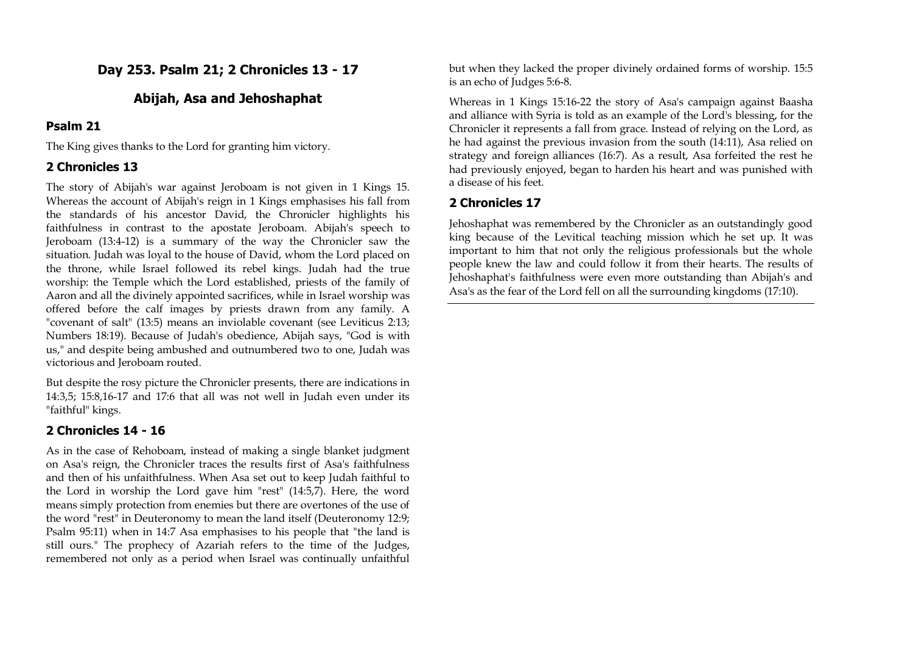## **Day 253. Psalm 21; 2 Chronicles 13 - 17**

### **Abijah, Asa and Jehoshaphat**

#### **Psalm 21**

The King gives thanks to the Lord for granting him victory.

### **2 Chronicles 13**

The story of Abijah's war against Jeroboam is not given in 1 Kings 15. Whereas the account of Abijah's reign in 1 Kings emphasises his fall from the standards of his ancestor David, the Chronicler highlights his faithfulness in contrast to the apostate Jeroboam. Abijah's speech to Jeroboam (13:4-12) is a summary of the way the Chronicler saw the situation. Judah was loyal to the house of David, whom the Lord placed on the throne, while Israel followed its rebel kings. Judah had the true worship: the Temple which the Lord established, priests of the family of Aaron and all the divinely appointed sacrifices, while in Israel worship was offered before the calf images by priests drawn from any family. A "covenant of salt" (13:5) means an inviolable covenant (see Leviticus 2:13; Numbers 18:19). Because of Judah's obedience, Abijah says, "God is with us," and despite being ambushed and outnumbered two to one, Judah was victorious and Jeroboam routed.

But despite the rosy picture the Chronicler presents, there are indications in 14:3,5; 15:8,16-17 and 17:6 that all was not well in Judah even under its "faithful" kings.

### **2 Chronicles 14 - 16**

As in the case of Rehoboam, instead of making a single blanket judgment on Asa's reign, the Chronicler traces the results first of Asa's faithfulness and then of his unfaithfulness. When Asa set out to keep Judah faithful to the Lord in worship the Lord gave him "rest" (14:5,7). Here, the word means simply protection from enemies but there are overtones of the use of the word "rest" in Deuteronomy to mean the land itself (Deuteronomy 12:9; Psalm 95:11) when in 14:7 Asa emphasises to his people that "the land is still ours." The prophecy of Azariah refers to the time of the Judges, remembered not only as a period when Israel was continually unfaithful

but when they lacked the proper divinely ordained forms of worship. 15:5 is an echo of Judges 5:6-8.

Whereas in 1 Kings 15:16-22 the story of Asa's campaign against Baasha and alliance with Syria is told as an example of the Lord's blessing, for the Chronicler it represents a fall from grace. Instead of relying on the Lord, as he had against the previous invasion from the south (14:11), Asa relied on strategy and foreign alliances (16:7). As a result, Asa forfeited the rest he had previously enjoyed, began to harden his heart and was punished with a disease of his feet.

### **2 Chronicles 17**

Jehoshaphat was remembered by the Chronicler as an outstandingly good king because of the Levitical teaching mission which he set up. It was important to him that not only the religious professionals but the whole people knew the law and could follow it from their hearts. The results of Jehoshaphat's faithfulness were even more outstanding than Abijah's and Asa's as the fear of the Lord fell on all the surrounding kingdoms (17:10).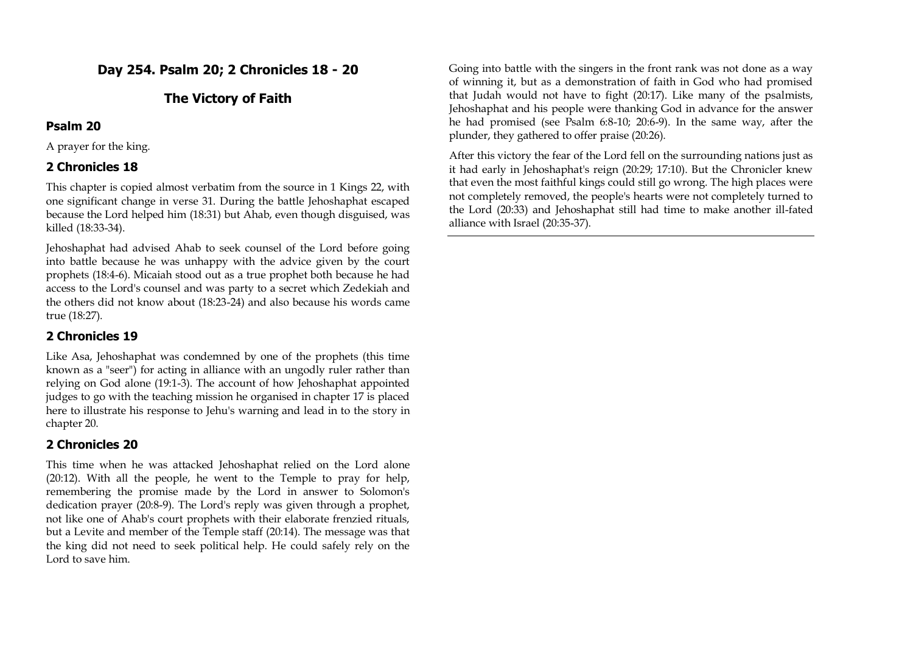## **Day 254. Psalm 20; 2 Chronicles 18 - 20**

### **The Victory of Faith**

#### **Psalm 20**

A prayer for the king.

### **2 Chronicles 18**

This chapter is copied almost verbatim from the source in 1 Kings 22, with one significant change in verse 31. During the battle Jehoshaphat escaped because the Lord helped him (18:31) but Ahab, even though disguised, was killed (18:33-34).

Jehoshaphat had advised Ahab to seek counsel of the Lord before going into battle because he was unhappy with the advice given by the court prophets (18:4-6). Micaiah stood out as a true prophet both because he had access to the Lord's counsel and was party to a secret which Zedekiah and the others did not know about (18:23-24) and also because his words came true (18:27).

## **2 Chronicles 19**

Like Asa, Jehoshaphat was condemned by one of the prophets (this time known as a "seer") for acting in alliance with an ungodly ruler rather than relying on God alone (19:1-3). The account of how Jehoshaphat appointed judges to go with the teaching mission he organised in chapter 17 is placed here to illustrate his response to Jehu's warning and lead in to the story in chapter 20.

## **2 Chronicles 20**

This time when he was attacked Jehoshaphat relied on the Lord alone (20:12). With all the people, he went to the Temple to pray for help, remembering the promise made by the Lord in answer to Solomon's dedication prayer (20:8-9). The Lord's reply was given through a prophet, not like one of Ahab's court prophets with their elaborate frenzied rituals, but a Levite and member of the Temple staff (20:14). The message was that the king did not need to seek political help. He could safely rely on the Lord to save him.

Going into battle with the singers in the front rank was not done as a way of winning it, but as a demonstration of faith in God who had promised that Judah would not have to fight (20:17). Like many of the psalmists, Jehoshaphat and his people were thanking God in advance for the answer he had promised (see Psalm 6:8-10; 20:6-9). In the same way, after the plunder, they gathered to offer praise (20:26).

After this victory the fear of the Lord fell on the surrounding nations just as it had early in Jehoshaphat's reign (20:29; 17:10). But the Chronicler knew that even the most faithful kings could still go wrong. The high places were not completely removed, the people's hearts were not completely turned to the Lord (20:33) and Jehoshaphat still had time to make another ill-fated alliance with Israel (20:35-37).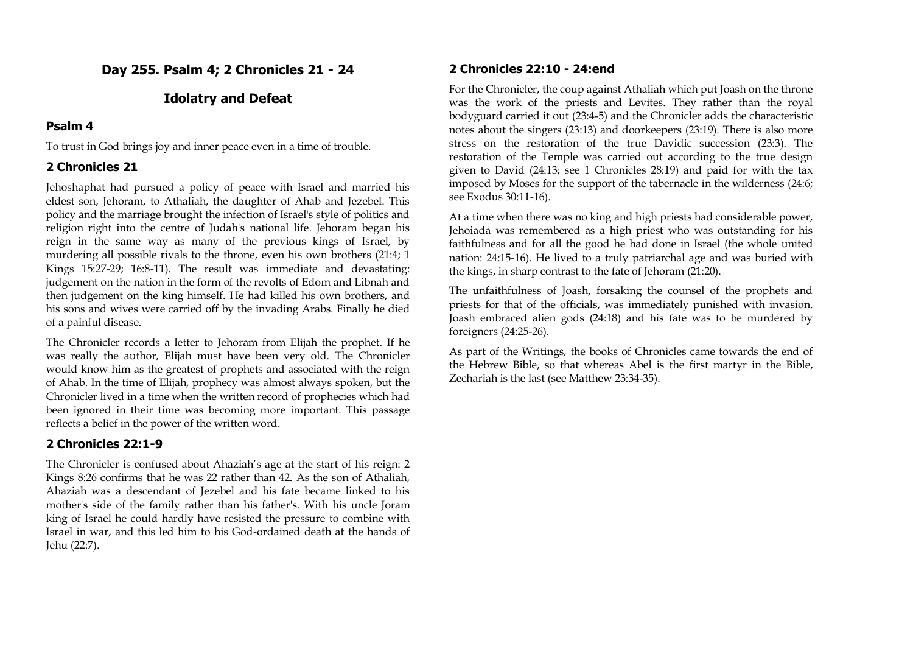**Day 255. Psalm 4; 2 Chronicles 21 - 24**

#### **Idolatry and Defeat**

### **Psalm 4**

To trust in God brings joy and inner peace even in a time of trouble.

#### **2 Chronicles 21**

Jehoshaphat had pursued a policy of peace with Israel and married his eldest son, Jehoram, to Athaliah, the daughter of Ahab and Jezebel. This policy and the marriage brought the infection of Israel's style of politics and religion right into the centre of Judah's national life. Jehoram began his reign in the same way as many of the previous kings of Israel, by murdering all possible rivals to the throne, even his own brothers (21:4; 1 Kings 15:27-29; 16:8-11). The result was immediate and devastating: judgement on the nation in the form of the revolts of Edom and Libnah and then judgement on the king himself. He had killed his own brothers, and his sons and wives were carried off by the invading Arabs. Finally he died of a painful disease.

The Chronicler records a letter to Jehoram from Elijah the prophet. If he was really the author, Elijah must have been very old. The Chronicler would know him as the greatest of prophets and associated with the reign of Ahab. In the time of Elijah, prophecy was almost always spoken, but the Chronicler lived in a time when the written record of prophecies which had been ignored in their time was becoming more important. This passage reflects a belief in the power of the written word.

#### **2 Chronicles 22:1-9**

The Chronicler is confused about Ahaziah's age at the start of his reign: 2 Kings 8:26 confirms that he was 22 rather than 42. As the son of Athaliah, Ahaziah was a descendant of Jezebel and his fate became linked to his mother's side of the family rather than his father's. With his uncle Joram king of Israel he could hardly have resisted the pressure to combine with Israel in war, and this led him to his God-ordained death at the hands of Jehu (22:7).

#### **2 Chronicles 22:10 - 24:end**

For the Chronicler, the coup against Athaliah which put Joash on the throne was the work of the priests and Levites. They rather than the royal bodyguard carried it out (23:4-5) and the Chronicler adds the characteristic notes about the singers (23:13) and doorkeepers (23:19). There is also more stress on the restoration of the true Davidic succession (23:3). The restoration of the Temple was carried out according to the true design given to David (24:13; see 1 Chronicles 28:19) and paid for with the tax imposed by Moses for the support of the tabernacle in the wilderness (24:6; see Exodus 30:11-16).

At a time when there was no king and high priests had considerable power, Jehoiada was remembered as a high priest who was outstanding for his faithfulness and for all the good he had done in Israel (the whole united nation: 24:15-16). He lived to a truly patriarchal age and was buried with the kings, in sharp contrast to the fate of Jehoram (21:20).

The unfaithfulness of Joash, forsaking the counsel of the prophets and priests for that of the officials, was immediately punished with invasion. Joash embraced alien gods (24:18) and his fate was to be murdered by foreigners (24:25-26).

As part of the Writings, the books of Chronicles came towards the end of the Hebrew Bible, so that whereas Abel is the first martyr in the Bible, Zechariah is the last (see Matthew 23:34-35).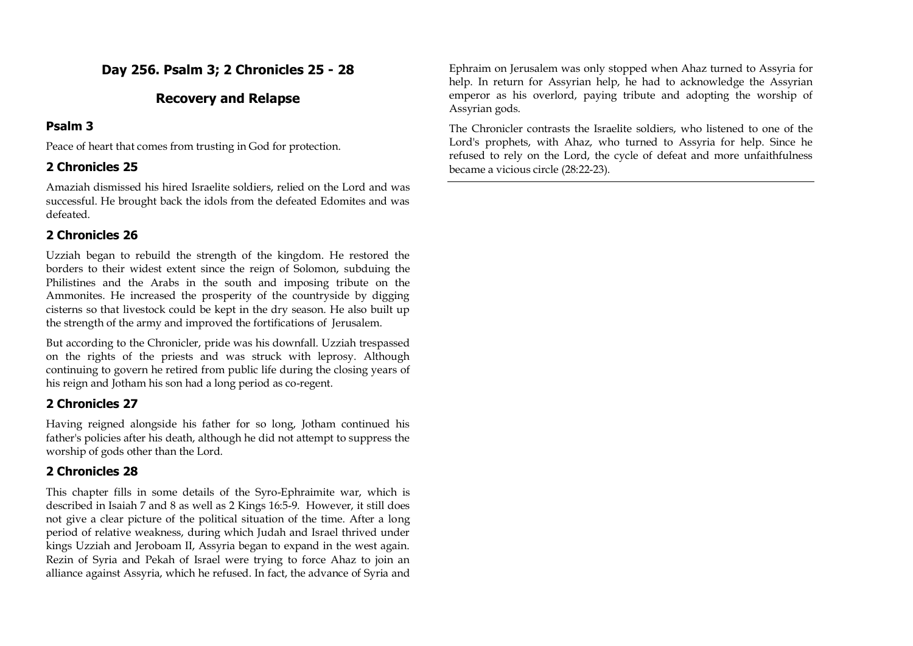# **Day 256. Psalm 3; 2 Chronicles 25 - 28**

### **Recovery and Relapse**

#### **Psalm 3**

Peace of heart that comes from trusting in God for protection.

### **2 Chronicles 25**

Amaziah dismissed his hired Israelite soldiers, relied on the Lord and was successful. He brought back the idols from the defeated Edomites and was defeated.

### **2 Chronicles 26**

Uzziah began to rebuild the strength of the kingdom. He restored the borders to their widest extent since the reign of Solomon, subduing the Philistines and the Arabs in the south and imposing tribute on the Ammonites. He increased the prosperity of the countryside by digging cisterns so that livestock could be kept in the dry season. He also built up the strength of the army and improved the fortifications of Jerusalem.

But according to the Chronicler, pride was his downfall. Uzziah trespassed on the rights of the priests and was struck with leprosy. Although continuing to govern he retired from public life during the closing years of his reign and Jotham his son had a long period as co-regent.

## **2 Chronicles 27**

Having reigned alongside his father for so long, Jotham continued his father's policies after his death, although he did not attempt to suppress the worship of gods other than the Lord.

## **2 Chronicles 28**

This chapter fills in some details of the Syro-Ephraimite war, which is described in Isaiah 7 and 8 as well as 2 Kings 16:5-9. However, it still does not give a clear picture of the political situation of the time. After a long period of relative weakness, during which Judah and Israel thrived under kings Uzziah and Jeroboam II, Assyria began to expand in the west again. Rezin of Syria and Pekah of Israel were trying to force Ahaz to join an alliance against Assyria, which he refused. In fact, the advance of Syria and

Ephraim on Jerusalem was only stopped when Ahaz turned to Assyria for help. In return for Assyrian help, he had to acknowledge the Assyrian emperor as his overlord, paying tribute and adopting the worship of Assyrian gods.

The Chronicler contrasts the Israelite soldiers, who listened to one of the Lord's prophets, with Ahaz, who turned to Assyria for help. Since he refused to rely on the Lord, the cycle of defeat and more unfaithfulness became a vicious circle (28:22-23).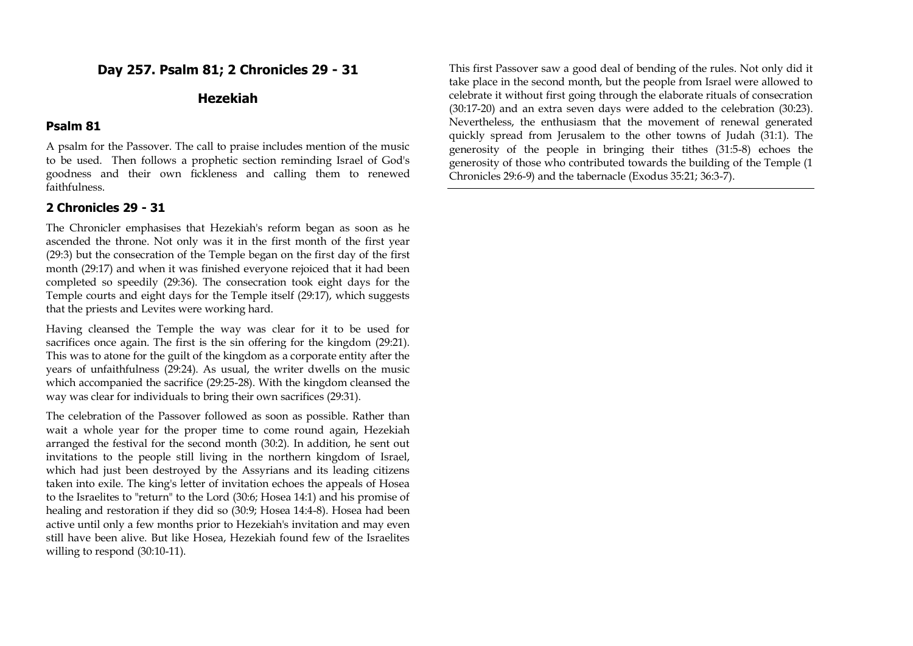### **Day 257. Psalm 81; 2 Chronicles 29 - 31**

### **Hezekiah**

#### **Psalm 81**

A psalm for the Passover. The call to praise includes mention of the music to be used. Then follows a prophetic section reminding Israel of God's goodness and their own fickleness and calling them to renewed faithfulness.

#### **2 Chronicles 29 - 31**

The Chronicler emphasises that Hezekiah's reform began as soon as he ascended the throne. Not only was it in the first month of the first year (29:3) but the consecration of the Temple began on the first day of the first month (29:17) and when it was finished everyone rejoiced that it had been completed so speedily (29:36). The consecration took eight days for the Temple courts and eight days for the Temple itself (29:17), which suggests that the priests and Levites were working hard.

Having cleansed the Temple the way was clear for it to be used for sacrifices once again. The first is the sin offering for the kingdom (29:21). This was to atone for the guilt of the kingdom as a corporate entity after the years of unfaithfulness (29:24). As usual, the writer dwells on the music which accompanied the sacrifice (29:25-28). With the kingdom cleansed the way was clear for individuals to bring their own sacrifices (29:31).

The celebration of the Passover followed as soon as possible. Rather than wait a whole year for the proper time to come round again, Hezekiah arranged the festival for the second month (30:2). In addition, he sent out invitations to the people still living in the northern kingdom of Israel, which had just been destroyed by the Assyrians and its leading citizens taken into exile. The king's letter of invitation echoes the appeals of Hosea to the Israelites to "return" to the Lord (30:6; Hosea 14:1) and his promise of healing and restoration if they did so (30:9; Hosea 14:4-8). Hosea had been active until only a few months prior to Hezekiah's invitation and may even still have been alive. But like Hosea, Hezekiah found few of the Israelites willing to respond (30:10-11).

This first Passover saw a good deal of bending of the rules. Not only did it take place in the second month, but the people from Israel were allowed to celebrate it without first going through the elaborate rituals of consecration (30:17-20) and an extra seven days were added to the celebration (30:23). Nevertheless, the enthusiasm that the movement of renewal generated quickly spread from Jerusalem to the other towns of Judah (31:1). The generosity of the people in bringing their tithes (31:5-8) echoes the generosity of those who contributed towards the building of the Temple (1 Chronicles 29:6-9) and the tabernacle (Exodus 35:21; 36:3-7).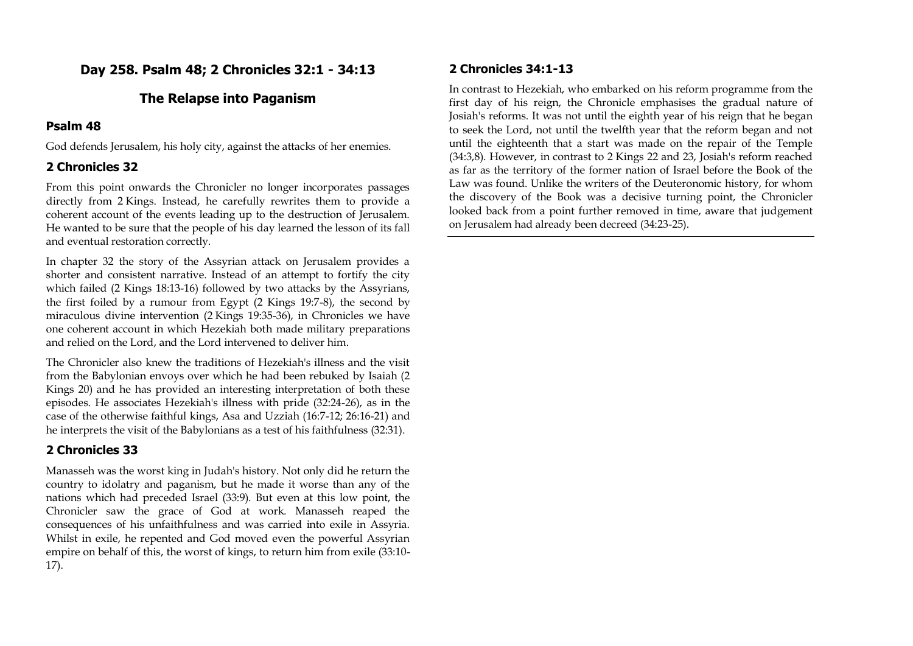## **Day 258. Psalm 48; 2 Chronicles 32:1 - 34:13**

### **The Relapse into Paganism**

### **Psalm 48**

God defends Jerusalem, his holy city, against the attacks of her enemies.

### **2 Chronicles 32**

From this point onwards the Chronicler no longer incorporates passages directly from 2 Kings. Instead, he carefully rewrites them to provide a coherent account of the events leading up to the destruction of Jerusalem. He wanted to be sure that the people of his day learned the lesson of its fall and eventual restoration correctly.

In chapter 32 the story of the Assyrian attack on Jerusalem provides a shorter and consistent narrative. Instead of an attempt to fortify the city which failed (2 Kings 18:13-16) followed by two attacks by the Assyrians, the first foiled by a rumour from Egypt (2 Kings 19:7-8), the second by miraculous divine intervention (2 Kings 19:35-36), in Chronicles we have one coherent account in which Hezekiah both made military preparations and relied on the Lord, and the Lord intervened to deliver him.

The Chronicler also knew the traditions of Hezekiah's illness and the visit from the Babylonian envoys over which he had been rebuked by Isaiah (2 Kings 20) and he has provided an interesting interpretation of both these episodes. He associates Hezekiah's illness with pride (32:24-26), as in the case of the otherwise faithful kings, Asa and Uzziah (16:7-12; 26:16-21) and he interprets the visit of the Babylonians as a test of his faithfulness (32:31).

## **2 Chronicles 33**

Manasseh was the worst king in Judah's history. Not only did he return the country to idolatry and paganism, but he made it worse than any of the nations which had preceded Israel (33:9). But even at this low point, the Chronicler saw the grace of God at work. Manasseh reaped the consequences of his unfaithfulness and was carried into exile in Assyria. Whilst in exile, he repented and God moved even the powerful Assyrian empire on behalf of this, the worst of kings, to return him from exile (33:10- 17).

## **2 Chronicles 34:1-13**

In contrast to Hezekiah, who embarked on his reform programme from the first day of his reign, the Chronicle emphasises the gradual nature of Josiah's reforms. It was not until the eighth year of his reign that he began to seek the Lord, not until the twelfth year that the reform began and not until the eighteenth that a start was made on the repair of the Temple (34:3,8). However, in contrast to 2 Kings 22 and 23, Josiah's reform reached as far as the territory of the former nation of Israel before the Book of the Law was found. Unlike the writers of the Deuteronomic history, for whom the discovery of the Book was a decisive turning point, the Chronicler looked back from a point further removed in time, aware that judgement on Jerusalem had already been decreed (34:23-25).